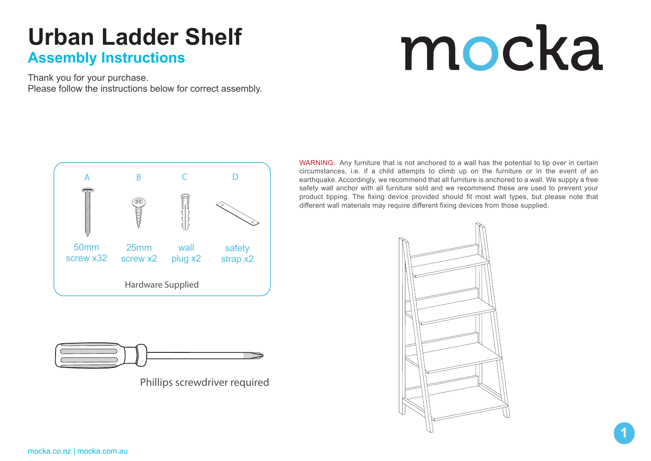# mocka

Thank you for your purchase. Please follow the instructions below for correct assembly.



Phillips screwdriver required

WARNING: Any furniture that is not anchored to a wall has the potential to tip over in certain circumstances, i.e. if a child attempts to climb up on the furniture or in the event of an earthquake. Accordingly, we recommend that all furniture is anchored to a wall. We supply a free safety wall anchor with all furniture sold and we recommend these are used to prevent your product tipping. The fixing device provided should fit most wall types, but please note that different wall materials may require different fixing devices from those supplied.

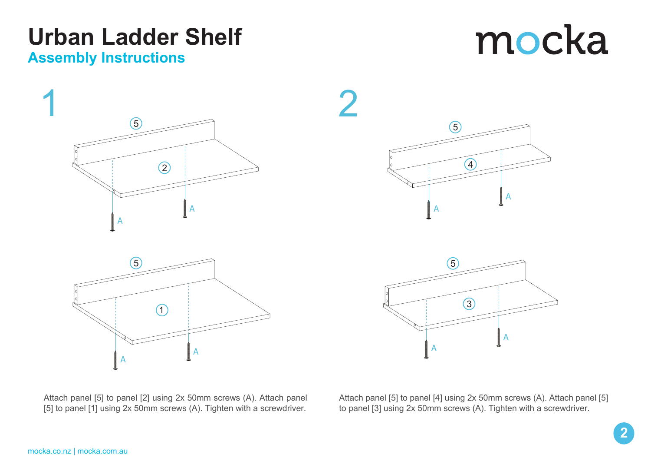# mocka





Attach panel [5] to panel [2] using 2x 50mm screws (A). Attach panel [5] to panel [1] using 2x 50mm screws (A). Tighten with a screwdriver.

Attach panel [5] to panel [4] using 2x 50mm screws (A). Attach panel [5] to panel [3] using 2x 50mm screws (A). Tighten with a screwdriver.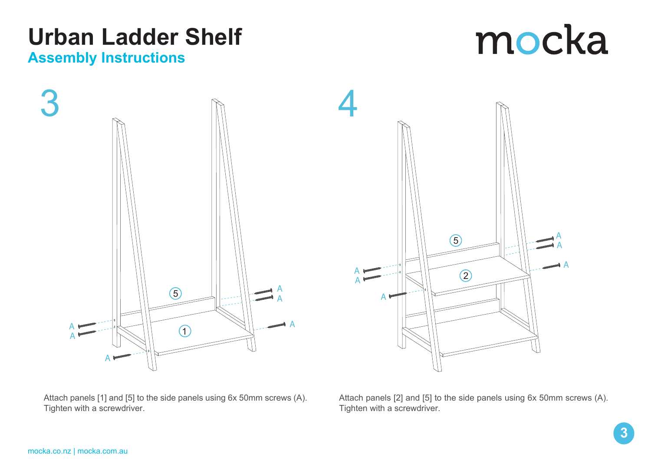A A

A

Attach panels [1] and [5] to the side panels using 6x 50mm screws (A). Tighten with a screwdriver.

Attach panels [2] and [5] to the side panels using 6x 50mm screws (A). Tighten with a screwdriver.

5

 $\circled{2}$ 

A

![](_page_2_Figure_5.jpeg)

![](_page_2_Figure_6.jpeg)

![](_page_2_Figure_7.jpeg)